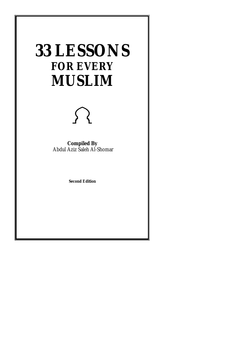## **33 LESSONS FOR EVERY MUSLIM**



**Compiled By**  Abdul Aziz Saleh Al-Shomar

**Second Edition**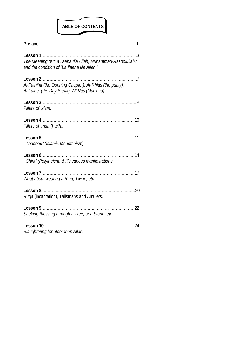# TABLE OF CONTENTS

| The Meaning of "La Ilaaha Illa Allah, Muhammad-Rasoolullah."<br>and the condition of "La Ilaaha IIIa Allah." |
|--------------------------------------------------------------------------------------------------------------|
| Al-Fathiha (the Opening Chapter), Al-Ikhlas (the purity),<br>Al-Falaq (the Day Break), All Nas (Mankind).    |
| Pillars of Islam.                                                                                            |
| Pillars of Iman (Faith).                                                                                     |
| "Tauheed" (Islamic Monotheism).                                                                              |
| "Shirk" (Polytheism) & it's various manifestations.                                                          |
| What about wearing a Ring, Twine, etc.                                                                       |
| Ruga (incantation), Talismans and Amulets.                                                                   |
| . 22<br>Lesson $9$<br>Seeking Blessing through a Tree, or a Stone, etc.                                      |
| Slaughtering for other than Allah.                                                                           |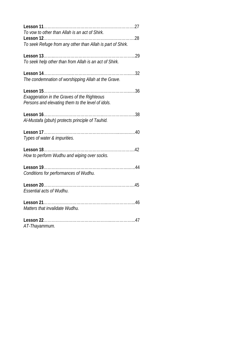| To vow to other than Allah is an act of Shirk.                                                          |
|---------------------------------------------------------------------------------------------------------|
| . 28<br>To seek Refuge from any other than Allah is part of Shirk.                                      |
| .29<br>To seek help other than from Allah is an act of Shirk.                                           |
| The condemnation of worshipping Allah at the Grave.                                                     |
| <b>Exaggeration in the Graves of the Righteous</b><br>Persons and elevating them to the level of idols. |
| Al-Mustafa (pbuh) protects principle of Tauhid.                                                         |
| Types of water & impurities.                                                                            |
| How to perform Wudhu and wiping over socks.                                                             |
| Conditions for performances of Wudhu.                                                                   |
| <b>Essential acts of Wudhu.</b>                                                                         |
| Matters that invalidate Wudhu.                                                                          |
| AT-Thayammum.                                                                                           |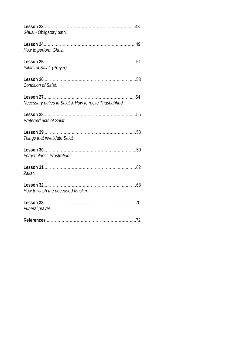| Ghusl - Obligatory bath.                              |  |
|-------------------------------------------------------|--|
|                                                       |  |
| How to perform Ghusl.                                 |  |
| Pillars of Salat (Prayer).                            |  |
| <b>Condition of Salat.</b>                            |  |
|                                                       |  |
| Necessary duties in Salat & How to recite Thashahhud. |  |
| Preferred acts of Salat.                              |  |
| Things that invalidate Salat.                         |  |
| Forgetfulness Prostration.                            |  |
| Zakat.                                                |  |
| How to wash the deceased Muslim.                      |  |
| Funeral prayer.                                       |  |
|                                                       |  |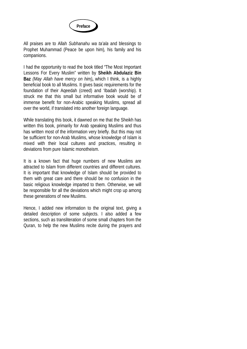

All praises are to Allah *Subhanahu wa ta'ala* and blessings to Prophet Muhammad (Peace be upon him)*,* his family and his companions.

I had the opportunity to read the book titled "The Most Important Lessons For Every Muslim" written by **Sheikh Abdulaziz Bin Baz** *(May Allah have mercy on him)***,** which I think, is a highly beneficial book to all Muslims. It gives basic requirements for the foundation of their Aqeedah (creed) and 'Ibadah (worship). It struck me that this small but informative book would be of immense benefit for non-Arabic speaking Muslims, spread all over the world, if translated into another foreign language.

While translating this book, it dawned on me that the Sheikh has written this book, primarily for Arab speaking Muslims and thus has written most of the information very briefly. But this may not be sufficient for non-Arab Muslims, whose knowledge of Islam is mixed with their local cultures and practices, resulting in deviations from pure Islamic monotheism.

It is a known fact that huge numbers of new Muslims are attracted to Islam from different countries and different cultures. It is important that knowledge of Islam should be provided to them with great care and there should be no confusion in the basic religious knowledge imparted to them. Otherwise, we will be responsible for all the deviations which might crop up among these generations of new Muslims.

Hence, I added new information to the original text, giving a detailed description of some subjects. I also added a few sections, such as transliteration of some small chapters from the Quran, to help the new Muslims recite during the prayers and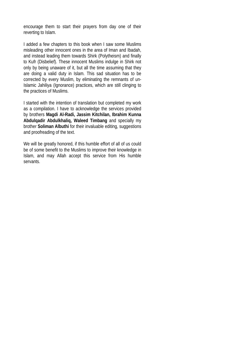encourage them to start their prayers from day one of their reverting to Islam.

I added a few chapters to this book when I saw some Muslims misleading other innocent ones in the area of Iman and Ibadah, and instead leading them towards Shirk (Polytheism) and finally to Kufr (Disbelief). These innocent Muslims indulge in Shirk not only by being unaware of it, but all the time assuming that they are doing a valid duty in Islam. This sad situation has to be corrected by every Muslim, by eliminating the remnants of un-Islamic Jahiliya (Ignorance) practices, which are still clinging to the practices of Muslims.

I started with the intention of translation but completed my work as a compilation. I have to acknowledge the services provided by brothers **Magdi Al-Radi, Jassim Kitchilan, Ibrahim Kunna Abdulqadir Abdulkhaliq, Waleed Timbang** and specially my brother **Soliman Albuthi** for their invaluable editing, suggestions and proofreading of the text.

We will be greatly honored, if this humble effort of all of us could be of some benefit to the Muslims to improve their knowledge in Islam, and may Allah accept this service from His humble servants.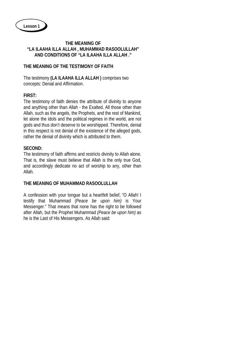## **THE MEANING OF "LA ILAAHA ILLA ALLAH , MUHAMMAD RASOOLULLAH" AND CONDITIONS OF "LA ILAAHA ILLA ALLAH ."**

## **THE MEANING OF THE TESTIMONY OF FAITH**

The testimony **(LA ILAAHA ILLA ALLAH )** comprises two concepts: Denial and Affirmation.

## **FIRST:**

The testimony of faith denies the attribute of divinity to anyone and anything other than Allah - the Exalted. All those other than Allah, such as the angels, the Prophets, and the rest of Mankind, let alone the idols and the political regimes in the world, are not gods and thus don't deserve to be worshipped. Therefore, denial in this respect is not denial of the existence of the alleged gods, rather the denial of divinity which is attributed to them.

## **SECOND:**

The testimony of faith affirms and restricts divinity to Allah alone. That is, the slave must believe that Allah is the only true God, and accordingly dedicate no act of worship to any, other than Allah.

## **THE MEANING OF MUHAMMAD RASOOLULLAH**

A confession with your tongue but a heartfelt belief, "O Allah! I testify that Muhammad *(Peace be upon him)* is Your Messenger." That means that none has the right to be followed after Allah, but the Prophet Muhammad *(Peace be upon him)* as he is the Last of His Messengers. As Allah said: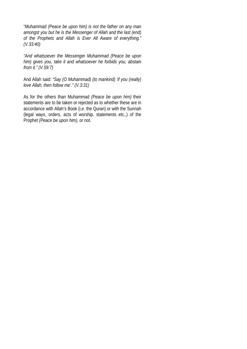"*Muhammad (Peace be upon him) is not the father on any man amongst you but he is the Messenger of Allah and the last (end) of the Prophets and Allah is Ever All Aware of everything." (V.33:40)*

*"And whatsoever the Messenger Muhammad (Peace be upon him) gives you, take it and whatsoever he forbids you, abstain from it." (V.59:7)*

And Allah said: *"Say (O Muhammad) (to mankind) 'if you (really) love Allah, then follow me'." (V.3:31)*

As for the others than Muhammad *(Peace be upon him)* their statements are to be taken or rejected as to whether these are in accordance with Allah's Book (i.e. the Quran) or with the Sunnah (legal ways, orders, acts of worship, statements etc.,) of the Prophet *(Peace be upon him),* or not.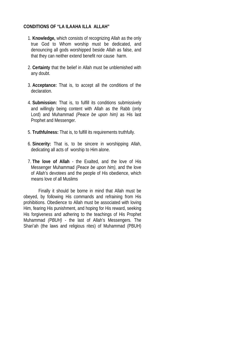## **CONDITIONS OF "LA ILAAHA ILLA ALLAH"**

- 1. **Knowledge,** which consists of recognizing Allah as the only true God to Whom worship must be dedicated, and denouncing all gods worshipped beside Allah as false, and that they can neither extend benefit nor cause harm.
- 2. **Certainty** that the belief in Allah must be unblemished with any doubt.
- 3. **Acceptance:** That is, to accept all the conditions of the declaration.
- 4. **Submission:** That is, to fulfill its conditions submissively and willingly being content with Allah as the Rabb (only Lord) and Muhammad *(Peace be upon him)* as His last Prophet and Messenger.
- 5. **Truthfulness:** That is, to fulfill its requirements truthfully.
- 6. **Sincerity:** That is, to be sincere in worshipping Allah, dedicating all acts of worship to Him alone.
- 7. **The love of Allah** the Exalted, and the love of His Messenger Muhammad *(Peace be upon him)*, and the love of Allah's devotees and the people of His obedience, which means love of all Muslims

Finally it should be borne in mind that Allah must be obeyed, by following His commands and refraining from His prohibitions. Obedience to Allah must be associated with loving Him, fearing His punishment, and hoping for His reward, seeking His forgiveness and adhering to the teachings of His Prophet Muhammad *(PBUH)* - the last of Allah's Messengers. The Shari'ah (the laws and religious rites) of Muhammad (PBUH)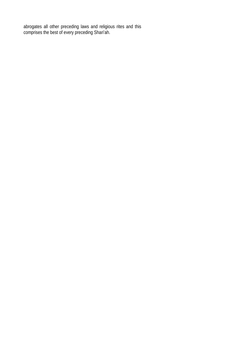abrogates all other preceding laws and religious rites and this comprises the best of every preceding Shari'ah.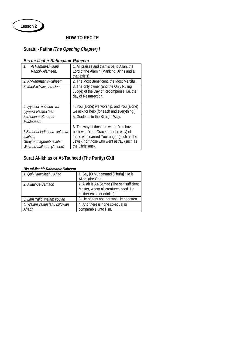

## **HOW TO RECITE**

## **Suratul- Fatiha** *(The Opening Chapter) I*

## *Bis mi-Ilaahir Rahmaanir-Raheem*

| Al Hamdu-Lil-laahi<br>$\mathcal{I}$ .<br>Rabbil- Alameen. | 1. All praises and thanks be to Allah, the<br>Lord of the Alamin (Mankind, Jinns and all<br>that exists).   |
|-----------------------------------------------------------|-------------------------------------------------------------------------------------------------------------|
| 2. Ar-Rahmaanir-Raheem                                    | 2. The Most Beneficent, the Most Merciful.                                                                  |
| 3. Maaliki-Yawmi-d-Deen                                   | 3. The only owner (and the Only Ruling<br>Judge) of the Day of Recompense. i.e. the<br>day of Resurrection. |
| 4. Iyyaaka na'budu wa                                     | 4. You (alone) we worship, and You (alone)                                                                  |
| Iyyaaka Nastha 'een                                       | we ask for help (for each and everything.)                                                                  |
| 5. Ih-dhinas-Siraat-al-                                   | 5. Guide us to the Straight Way.                                                                            |
| Mustageem                                                 |                                                                                                             |
|                                                           | 6. The way of those on whom You have                                                                        |
| 6. Siraat-al-ladheena an'amta                             | bestowed Your Grace, not (the way) of                                                                       |
| alaihim.                                                  | those who earned Your anger (such as the                                                                    |
| Ghayr-il-maghdubi-alaihim                                 | Jews), nor those who went astray (such as                                                                   |
| Wala-dd-aalleen. (Ameen)                                  | the Christians).                                                                                            |

## **Surat Al-Ikhlas or At-Tauheed (The Purity) CXII**

#### *Bis mi-Ilaahir Rahmanir-Raheem*

| 1. Oul- Huwallaahu Ahad              | 1. Say [O Muhammad (Pbuh)] : He is<br>Allah, (the One.                                                        |
|--------------------------------------|---------------------------------------------------------------------------------------------------------------|
| 2. Allaahus-Samadh                   | 2. Allah is As-Samad (The self sufficient<br>Master, whom all creatures need. He<br>neither eats nor drinks.) |
| 3. Lam Yalid walam youlad            | 3. He begets not, nor was He begotten.                                                                        |
| 4. Walam yakun lahu kufuwan<br>Ahadh | 4. And there is none co-equal or<br>comparable unto Him.                                                      |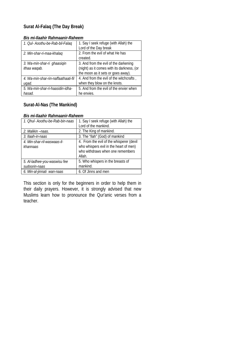## **Surat Al-Falaq (The Day Break)**

| 1. Qul- Aoothu-be-Rab-bil-Falaq     | 1. Say I seek refuge (with Allah) the      |
|-------------------------------------|--------------------------------------------|
|                                     | Lord of the Day break                      |
| 2. Min-shar-ri-maa-khalaq           | 2. From the evil of what He has            |
|                                     | created.                                   |
| 3. Wa-min-shar-ri ghaasigin         | 3. And from the evil of the darkening      |
| ithaa waqab.                        | (night) as it comes with its darkness, (or |
|                                     | the moon as it sets or goes away).         |
| 4. Wa-min-shar-rin-naffaathaati-fil | 4. And from the evil of the witchcrafts,   |
| ugad.                               | when they blow on the knots.               |
| 5. Wa-min-shar-ri-haasidin-idha-    | 5. And from the evil of the envier when    |
| hasad.                              | he envies.                                 |

#### *Bis mi-Ilaahir Rahmaanir-Raheem*

## **Surat-Al-Nas (The Mankind)**

## *Bis mi-Ilaahir Rahmaanir-Raheem*

| 1. Ohul- Aoothu-be-Rab-bin-naas | 1. Say I seek refuge (with Allah) the    |
|---------------------------------|------------------------------------------|
|                                 | Lord of the mankind.                     |
| 2. Malikin – naas.              | 2. The King of mankind.                  |
| 3. Ilaah-in-naas                | 3. The "Ilah" (God) of mankind           |
| 4. Min-shar-ril-waswaas-il-     | 4. From the evil of the whisperer (devil |
| khannaas                        | who whispers evil in the heart of men)   |
|                                 | who withdraws when one remembers         |
|                                 | Allah.                                   |
| 5. Al-ladhee-you-waswisu fee    | 5. Who whispers in the breasts of        |
| sudoorin-naas                   | mankind.                                 |
| 6. Min-al-jinnati wan-naas      | 6. Of Jinns and men                      |

This section is only for the beginners in order to help them in their daily prayers. However, it is strongly advised that new Muslims learn how to pronounce the Qur'anic verses from a teacher.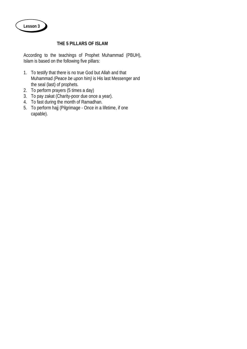## **THE 5 PILLARS OF ISLAM**

According to the teachings of Prophet Muhammad (PBUH), Islam is based on the following five pillars:

- 1. To testify that there is no true God but Allah and that Muhammad *(Peace be upon him)* is His last Messenger and the seal (last) of prophets.
- 2. To perform prayers (5 times a day)
- 3. To pay zakat (Charity-poor due once a year).
- 4. To fast during the month of Ramadhan.
- 5. To perform hajj (Pilgrimage Once in a lifetime, if one capable).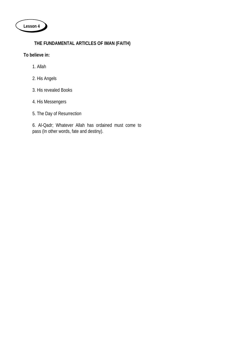

## **THE FUNDAMENTAL ARTICLES OF IMAN (FAITH)**

**To believe in:**

- 1. Allah
- 2. His Angels
- 3. His revealed Books
- 4. His Messengers
- 5. The Day of Resurrection

6. Al-Qadr; Whatever Allah has ordained must come to pass (In other words, fate and destiny).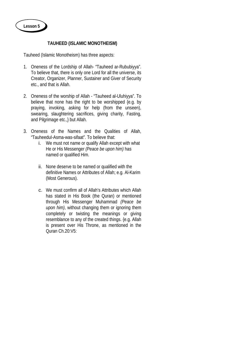## **TAUHEED (ISLAMIC MONOTHEISM)**

Tauheed (Islamic Monotheism) has three aspects:

- 1. Oneness of the Lordship of Allah- "Tauheed ar-Rububiyya". To believe that, there is only one Lord for all the universe, its Creator, Organizer, Planner, Sustainer and Giver of Security etc., and that is Allah.
- 2. Oneness of the worship of Allah "Tauheed al-Uluhiyya". To believe that none has the right to be worshipped {e.g. by praying, invoking, asking for help (from the unseen), swearing, slaughtering sacrifices, giving charity, Fasting, and Pilgrimage etc.,} but Allah.
- 3. Oneness of the Names and the Qualities of Allah, "TauheeduI-Asma-was-sifaat". To believe that:
	- i. We must not name or qualify Allah except with what He or His Messenger *(Peace be upon him)* has named or qualified Him.
	- ii. None deserve to be named or qualified with the definitive Names or Attributes of Allah; e.g. Al-Karim (Most Generous).
	- c. We must confirm all of Allah's Attributes which Allah has stated in His Book (the Quran) or mentioned through His Messenger Muhammad *(Peace be upon him)*, without changing them or ignoring them completely or twisting the meanings or giving resemblance to any of the created things. {e.g. Allah is present over His Throne, as mentioned in the Quran Ch.20:V5: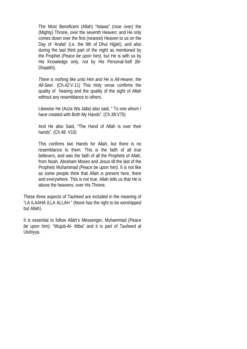The Most Beneficent (Allah) "Istawa" (rose over) the (Mighty) Throne, over the seventh Heaven; and He only comes down over the first (nearest) Heaven to us on the Day of 'Arafat' (i.e. the 9th of Dhul Hijjah), and also during the last third part of the night as mentioned by the Prophet *(Peace be upon him)*, but He is with us by His Knowledge only, not by His Personal-Self (Bi-Dhaatihi).

*There is nothing like unto Him and He is All-Hearer, the All-Seer.* (Ch.42:V.11) This Holy verse confirms the quality of hearing and the quality of the sight of Allah without any resemblance to others.

Likewise He (Azza Wa Jalla) also said, " To one whom I have created with Both My Hands". (Ch.38:V75)

And He also Said, "The Hand of Allah is over their hands". (Ch.48: V10)

This confirms two Hands for Allah, but there is no resemblance to them. This is the faith of all true believers, and was the faith of all the Prophets of Allah, from Noah, Abraham Moses and Jesus till the last of the Prophets Muhammad *(Peace be upon him)*. It is not like as some people think that Allah is present here, there and everywhere. This is not true. Allah tells us that He is above the heavens, over His Throne.

These three aspects of Tauheed are included in the meaning of "LA ILAAHA ILLA ALLAH " (None has the right to be worshipped but Allah).

It is essential to follow Allah's Messenger, Muhammad *(Peace be upon him)*: "Wujub-Al- Ittiba" and it is part of Tauheed al Uluhiyya.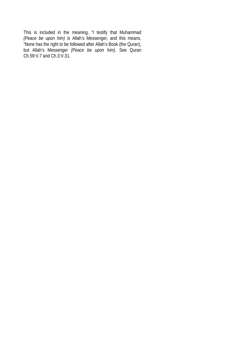This is included in the meaning, "I testify that Muhammad *(Peace be upon him)* is Allah's Messenger, and this means, "None has the right to be followed after Allah's Book (the Quran), but Allah's Messenger *(Peace be upon him)*. See Quran Ch.59:V.7 and Ch.3:V.31.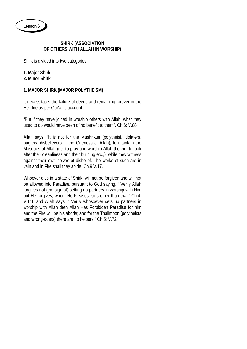## **SHIRK (ASSOCIATION OF OTHERS WITH ALLAH IN WORSHIP)**

Shirk is divided into two categories:

- **1. Major Shirk**
- **2. Minor Shirk**

## 1. **MAJOR SHIRK (MAJOR POLYTHEISM)**

It necessitates the failure of deeds and remaining forever in the Hell-fire as per Qur'anic account.

"But if they have joined in worship others with Allah, what they used to do would have been of no benefit to them". Ch.6: V.88.

Allah says, "It is not for the Mushrikun (polytheist, idolaters, pagans, disbelievers in the Oneness of Allah), to maintain the Mosques of Allah (i.e. to pray and worship Allah therein, to look after their cleanliness and their building etc.,), while they witness against their own selves of disbelief. The works of such are in vain and in Fire shall they abide. Ch.9 V.17.

Whoever dies in a state of Shirk, will not be forgiven and will not be allowed into Paradise, pursuant to God saying, " Verily Allah forgives not (the sign of) setting up partners in worship with Him but He forgives, whom He Pleases, sins other than that." Ch.4: V.116 and Allah says: " Verily whosoever sets up partners in worship with Allah then Allah Has Forbidden Paradise for him and the Fire will be his abode; and for the Thalimoon (polytheists and wrong-doers) there are no helpers." Ch.5: V.72.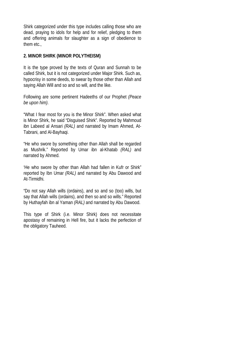Shirk categorized under this type includes calling those who are dead, praying to idols for help and for relief, pledging to them and offering animals for slaughter as a sign of obedience to them etc.,

## **2. MINOR SHIRK (MINOR POLYTHEISM)**

It is the type proved by the texts of Quran and Sunnah to be called Shirk, but it is not categorized under Major Shirk. Such as, hypocrisy in some deeds, to swear by those other than Allah and saying Allah Will and so and so will, and the like.

Following are some pertinent Hadeeths of our Prophet *(Peace be upon him)*.

"What I fear most for you is the Minor Shirk". When asked what is Minor Shirk, he said "Disguised Shirk". Reported by Mahmoud ibn Labeed al Ansari *(RAL)* and narrated by Imam Ahmed, At-Tabrani, and Al-Bayhaqi.

"He who swore by something other than Allah shall be regarded as Mushrik." Reported by Umar ibn al-Khatab *(RAL)* and narrated by Ahmed.

'He who swore by other than Allah had fallen in Kufr or Shirk" reported by Ibn Umar *(RAL)* and narrated by Abu Dawood and At-Tirmidhi.

"Do not say Allah wills (ordains), and so and so (too) wills, but say that Allah wills (ordains), and then so and so wills." Reported by Huthayfah ibn al Yaman *(RAL)* and narrated by Abu Dawood.

This type of Shirk (i.e. Minor Shirk) does not necessitate apostasy of remaining in Hell fire, but it lacks the perfection of the obligatory Tauheed.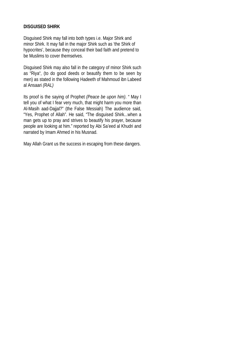## **DISGUISED SHIRK**

Disguised Shirk may fall into both types i.e. Major Shirk and minor Shirk. It may fall in the major Shirk such as 'the Shirk of hypocrites', because they conceal their bad faith and pretend to be Muslims to cover themselves.

Disguised Shirk may also fall in the category of minor Shirk such as "Riya", (to do good deeds or beautify them to be seen by men) as stated in the following Hadeeth of Mahmoud ibn Labeed al Ansaari *(RAL)*

Its proof is the saying of Prophet *(Peace be upon him)*. " May I tell you of what I fear very much, that might harm you more than Al-Masih aad-Dajjal?" (the False Messiah) The audience said, "Yes, Prophet of Allah". He said, "The disguised Shirk...when a man gets up to pray and strives to beautify his prayer, because people are looking at him." reported by Abi Sa'eed al Khudri and narrated by Imam Ahmed in his Musnad.

May Allah Grant us the success in escaping from these dangers.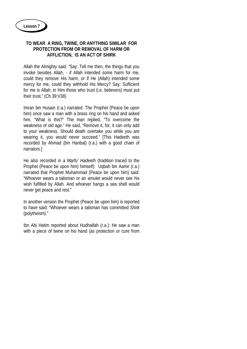## **TO WEAR A RING, TWINE, OR ANYTHING SIMILAR FOR PROTECTION FROM OR REMOVAL OF HARM OR AFFLICTION, IS AN ACT OF SHIRK**

Allah the Almighty said: "Say: Tell me then, the things that you invoke besides Allah, - if Allah intended some harm for me, could they remove His harm, or if He (Allah) intended some mercy for me, could they withhold His Mercy? Say: Sufficient for me is Allah; in Him those who trust (i.e. believers) must put their trust." (Ch 39:V38)

Imran bin Husain (r.a.) narrated: The Prophet (Peace be upon him) once saw a man with a brass ring on his hand and asked him, "What is this?" The man replied, "To overcome the weakness of old age." He said, "Remove it, for, it can only add to your weakness. Should death overtake you while you are wearing it, you would never succeed." [This Hadeeth was recorded by Ahmad (bin Hanbal) (r.a.) with a good chain of narrators.]

He also recorded in a *Marfu' Hadeeth* (tradition traced to the Prophet (Peace be upon him) himself): Uqbah bin Aamir (r.a.) narrated that Prophet Muhammad (Peace be upon him) said: "Whoever wears a talisman or an amulet would never see his wish fulfilled by Allah. And whoever hangs a sea shell would never get peace and rest."

In another version the Prophet (Peace be upon him) is reported to have said: "Whoever wears a talisman has committed *Shirk* (polytheism)."

Ibn Abi Hatim reported about Hudhaifah (r.a.): He saw a man with a piece of twine on his hand (as protection or cure from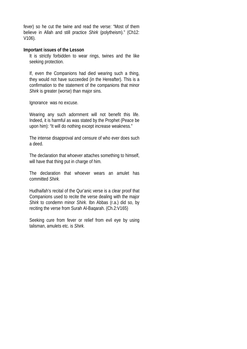fever) so he cut the twine and read the verse: "Most of them believe in Allah and still practice *Shirk* (polytheism)." (Ch12: V106).

#### **Important issues of the Lesson**

It is strictly forbidden to wear rings, twines and the like seeking protection.

If, even the Companions had died wearing such a thing, they would not have succeeded (in the Hereafter). This is a confirmation to the statement of the companions that minor *Shirk* is greater (worse) than major sins.

Ignorance was no excuse.

Wearing any such adornment will not benefit this life. Indeed, it is harmful as was stated by the Prophet (Peace be upon him): "It will do nothing except increase weakness."

The intense disapproval and censure of who ever does such a deed.

The declaration that whoever attaches something to himself, will have that thing put in charge of him.

The declaration that whoever wears an amulet has committed *Shirk.*

Hudhaifah's recital of the Qur'anic verse is a clear proof that Companions used to recite the verse dealing with the major *Shirk* to condemn minor *Shirk.* Ibn Abbas (r.a.) did so, by reciting the verse from Surah Al-Baqarah. (Ch.2:V165)

Seeking cure from fever or relief from evil eye by using talisman, amulets etc. is *Shirk.*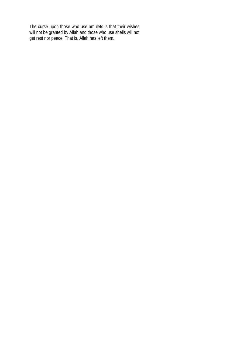The curse upon those who use amulets is that their wishes will not be granted by Allah and those who use shells will not get rest nor peace. That is, Allah has left them.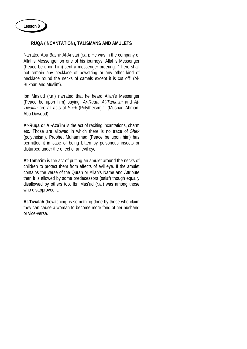## **RUQA (INCANTATION), TALISMANS AND AMULETS**

Narrated Abu Bashir Al-Ansari (r.a.): He was in the company of Allah's Messenger on one of his journeys. Allah's Messenger (Peace be upon him) sent a messenger ordering: "There shall not remain any necklace of bowstring or any other kind of necklace round the necks of camels except it is cut off" (Al-Bukhari and Muslim).

Ibn Mas'ud (r.a.) narrated that he heard Allah's Messenger (Peace be upon him) saying: *Ar-Ruqa, At-Tama'im* and *At-Tiwalah* are all acts of *Shirk* (Polytheism)." (Musnad Ahmad; Abu Dawood).

**Ar-Ruqa or Al-Aza'im** is the act of reciting incantations, charm etc. Those are allowed in which there is no trace of *Shirk* (polytheism). Prophet Muhammad (Peace be upon him) has permitted it in case of being bitten by poisonous insects or disturbed under the effect of an evil eye.

**At-Tama'im** is the act of putting an amulet around the necks of children to protect them from effects of evil eye. If the amulet contains the verse of the Quran or Allah's Name and Attribute then it is allowed by some predecessors (salaf) though equally disallowed by others too. Ibn Mas'ud (r.a.) was among those who disapproved it.

**At-Tiwalah** (bewitching) is something done by those who claim they can cause a woman to become more fond of her husband or vice-versa.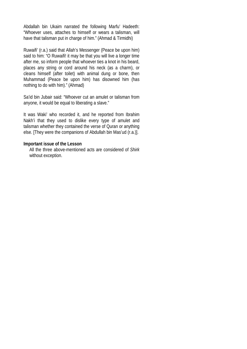Abdallah bin Ukaim narrated the following Marfu' Hadeeth: "Whoever uses, attaches to himself or wears a talisman, will have that talisman put in charge of him." (Ahmad & Tirmidhi)

Ruwaifi' (r.a.) said that Allah's Messenger (Peace be upon him) said to him: "O Ruwaifi! it may be that you will live a longer time after me, so inform people that whoever ties a knot in his beard, places any string or cord around his neck (as a charm), or cleans himself (after toilet) with animal dung or bone, then Muhammad (Peace be upon him) has disowned him (has nothing to do with him)." (Ahmad)

Sa'id bin Jubair said: "Whoever cut an amulet or talisman from anyone, it would be equal to liberating a slave."

It was Waki' who recorded it, and he reported from Ibrahim Nakh'i that they used to dislike every type of amulet and talisman whether they contained the verse of Quran or anything else. [They were the companions of Abdullah bin Mas'ud (r.a.)].

## **Important issue of the Lesson**

All the three above-mentioned acts are considered of *Shirk* without exception.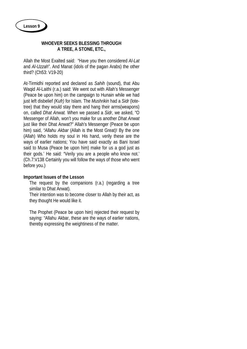## **WHOEVER SEEKS BLESSING THROUGH A TREE, A STONE, ETC.,**

Allah the Most Exalted said: "Have you then considered *Al-Lat* and *Al-Uzzah*". And Manat (idols of the pagan Arabs) the other third? (Ch53: V19-20)

At-Tirmidhi reported and declared as *Sahih* (sound), that Abu Waqid Al-Laithi (r.a.) said: We went out with Allah's Messenger (Peace be upon him) on the campaign to Hunain while we had just left disbelief *(Kufr)* for Islam. The *Mushrikin* had a *Sidr* (lotetree) that they would stay there and hang their arms(weapons) on, called *Dhat Anwat.* When we passed a *Sidr*, we asked, "O Messenger of Allah, won't you make for us another *Dhat Anwat* just like their Dhat Anwat?" Allah's Messenger (Peace be upon him) said, *"Allahu Akbar* (Allah is the Most Great)! By the one (Allah) Who holds my soul in His hand, verily these are the ways of earlier nations; You have said exactly as Bani Israel said to Musa (Peace be upon him) make for us a god just as their gods.' He said: "Verily you are a people who know not.' (Ch.7:V138 Certainly you will follow the ways of those who went before you.)

## **Important Issues of the Lesson**

The request by the companions (r.a.) (regarding a tree similar to Dhat Anwat).

Their intention was to become closer to Allah by their act, as they thought He would like it.

The Prophet (Peace be upon him) rejected their request by saying: "Allahu Akbar, these are the ways of earlier nations, thereby expressing the weightiness of the matter.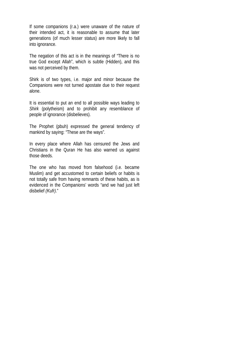If some companions (r.a.) were unaware of the nature of their intended act, it is reasonable to assume that later generations (of much lesser status) are more likely to fall into ignorance.

The negation of this act is in the meanings of "There is no true God except Allah", which is subtle (Hidden), and this was not perceived by them.

Shirk is of two types, i.e. major and minor because the Companions were not turned apostate due to their request alone.

It is essential to put an end to all possible ways leading to *Shirk* (polytheism) and to prohibit any resemblance of people of ignorance (disbelieves).

The Prophet (pbuh) expressed the general tendency of mankind by saying: "These are the ways".

In every place where Allah has censured the Jews and Christians in the Quran He has also warned us against those deeds.

The one who has moved from falsehood (i.e. became Muslim) and get accustomed to certain beliefs or habits is not totally safe from having remnants of these habits, as is evidenced in the Companions' words "and we had just left disbelief *(Kufr)*."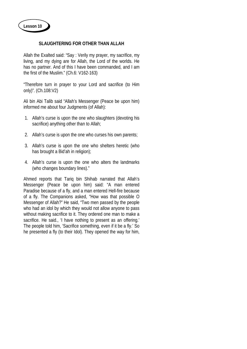## **SLAUGHTERING FOR OTHER THAN ALLAH**

Allah the Exalted said: "Say : Verily my prayer, my sacrifice, my living, and my dying are for Allah, the Lord of the worlds. He has no partner. And of this I have been commanded, and I am the first of the Muslim." (Ch.6: V162-163)

"Therefore turn in prayer to your Lord and sacrifice (to Him only)". (Ch.108:V2)

Ali bin Abi Talib said "Allah's Messenger (Peace be upon him) informed me about four Judgments (of Allah):

- 1. Allah's curse is upon the one who slaughters (devoting his sacrifice) anything other than to Allah;
- 2. Allah's curse is upon the one who curses his own parents;
- 3. Allah's curse is upon the one who shelters heretic (who has brought a Bid'ah in religion);
- 4. Allah's curse is upon the one who alters the landmarks (who changes boundary lines)."

Ahmed reports that Tariq bin Shihab narrated that Allah's Messenger (Peace be upon him) said: "A man entered Paradise because of a fly, and a man entered Hell-fire because of a fly. The Companions asked, "How was that possible O Messenger of Allah?" He said, "Two men passed by the people who had an idol by which they would not allow anyone to pass without making sacrifice to it. They ordered one man to make a sacrifice. He said., 'I have nothing to present as an offering.' The people told him, 'Sacrifice something, even if it be a fly.' So he presented a fly (to their Idol). They opened the way for him,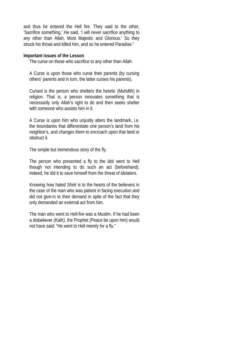and thus he entered the Hell fire. They said to the other, 'Sacrifice something.' He said, 'I will never sacrifice anything to any other than Allah, Most Majestic and Glorious.' So they struck his throat and killed him, and so he entered Paradise."

#### **Important issues of the Lesson**

The curse on those who sacrifice to any other than Allah.

A Curse is upon those who curse their parents (by cursing others' parents and in turn, the latter curses his parents).

Cursed is the person who shelters the heretic (Muhdith) in religion. That is, a person innovates something that is necessarily only Allah's right to do and then seeks shelter with someone who assists him in it.

A Curse is upon him who unjustly alters the landmark, i.e. the boundaries that differentiate one person's land from his neighbor's, and changes them to encroach upon that land or obstruct it.

The simple but tremendous story of the fly.

The person who presented a fly to the idol went to Hell though not intending to do such an act (beforehand). Indeed, he did it to save himself from the threat of idolaters.

Knowing how hated *Shirk* is to the hearts of the believers in the case of the man who was patient in facing execution and did not give-in to their demand in spite of the fact that they only demanded an external act from him.

The man who went to Hell-fire was a Muslim. If he had been a disbeliever *(Kafir)*, the Prophet (Peace be upon him) would not have said: "He went to Hell merely for a fly."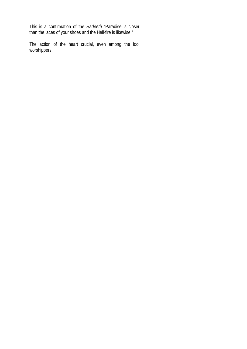This is a confirmation of the *Hadeeth* "Paradise is closer than the laces of your shoes and the Hell-fire is likewise."

The action of the heart crucial, even among the idol worshippers.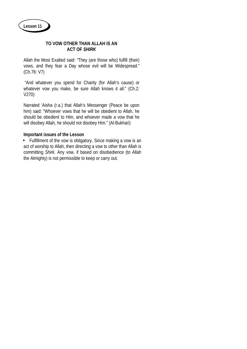**Lesson 11**

## **TO VOW OTHER THAN ALLAH IS AN ACT OF** *SHIRK*

Allah the Most Exalted said: "They (are those who) fulfill (their) vows, and they fear a Day whose evil will be Widespread." (Ch.76: V7)

"And whatever you spend for Charity (for Allah's cause) or whatever vow you make, be sure Allah knows it all." (Ch.2: V270)

Narrated 'Aisha (r.a.) that Allah's Messenger (Peace be upon him) said: "Whoever vows that he will be obedient to Allah, he should be obedient to Him, and whoever made a vow that he will disobey Allah, he should not disobey Him." (Al-Bukhari)

## **Important issues of the Lesson**

• Fulfillment of the vow is obligatory. Since making a vow is an act of worship to Allah, then directing a vow to other than Allah is committing *Shirk*. Any vow, if based on disobedience (to Allah the Almighty) is not permissible to keep or carry out.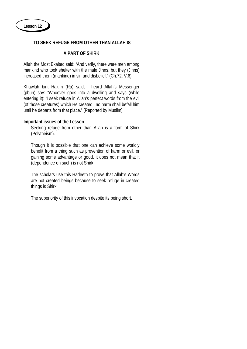## **TO SEEK REFUGE FROM OTHER THAN ALLAH IS**

## **A PART OF SHIRK**

Allah the Most Exalted said: "And verily, there were men among mankind who took shelter with the male Jinns, but they (Jinns) increased them (mankind) in sin and disbelief." (Ch.72: V.6)

Khawlah bint Hakim (Ra) said, I heard Allah's Messenger (pbuh) say: "Whoever goes into a dwelling and says (while entering it): 'I seek refuge in Allah's perfect words from the evil (of those creatures) which He created', no harm shall befall him until he departs from that place." (Reported by Muslim)

#### **Important issues of the Lesson**

Seeking refuge from other than Allah is a form of Shirk (Polytheism).

Though it is possible that one can achieve some worldly benefit from a thing such as prevention of harm or evil, or gaining some advantage or good, it does not mean that it (dependence on such) is not Shirk.

The scholars use this Hadeeth to prove that Allah's Words are not created beings because to seek refuge in created things is Shirk.

The superiority of this invocation despite its being short.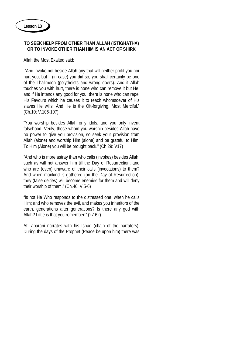## **TO SEEK HELP FROM OTHER THAN ALLAH (ISTIGHATHA) OR TO INVOKE OTHER THAN HIM IS AN ACT OF SHIRK**

Allah the Most Exalted said:

"And invoke not beside Allah any that will neither profit you nor hurt you, but if (in case) you did so, you shall certainly be one of the Thalimoon (polytheists and wrong doers). And if Allah touches you with hurt, there is none who can remove it but He; and if He intends any good for you, there is none who can repel His Favours which he causes it to reach whomsoever of His slaves He wills. And He is the Oft-forgiving, Most Merciful." (Ch.10: V.106-107).

"You worship besides Allah only idols, and you only invent falsehood. Verily, those whom you worship besides Allah have no power to give you provision, so seek your provision from Allah (alone) and worship Him (alone) and be grateful to Him. To Him (Alone) you will be brought back." (Ch.29: V17)

"And who is more astray than who calls (invokes) besides Allah, such as will not answer him till the Day of Resurrection; and who are (even) unaware of their calls (invocations) to them? And when mankind is gathered (on the Day of Resurrection), they (false deities) will become enemies for them and will deny their worship of them." (Ch.46: V.5-6)

"Is not He Who responds to the distressed one, when he calls Him; and who removes the evil, and makes you inheritors of the earth, generations after generations? Is there any god with Allah? Little is that you remember!" (27:62)

At-Tabarani narrates with his Isnad (chain of the narrators): During the days of the Prophet (Peace be upon him) there was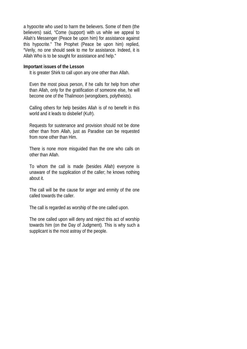a hypocrite who used to harm the believers. Some of them (the believers) said, "Come (support) with us while we appeal to Allah's Messenger (Peace be upon him) for assistance against this hypocrite." The Prophet (Peace be upon him) replied, "Verily, no one should seek to me for assistance. Indeed, it is Allah Who is to be sought for assistance and help."

#### **Important issues of the Lesson**

It is greater Shirk to call upon any one other than Allah.

Even the most pious person, if he calls for help from other than Allah, only for the gratification of someone else, he will become one of the Thalimoon (wrongdoers, polytheists).

Calling others for help besides Allah is of no benefit in this world and it leads to disbelief (Kufr).

Requests for sustenance and provision should not be done other than from Allah, just as Paradise can be requested from none other than Him.

There is none more misguided than the one who calls on other than Allah.

To whom the call is made (besides Allah) everyone is unaware of the supplication of the caller; he knows nothing about it.

The call will be the cause for anger and enmity of the one called towards the caller.

The call is regarded as worship of the one called upon.

The one called upon will deny and reject this act of worship towards him (on the Day of Judgment). This is why such a supplicant is the most astray of the people.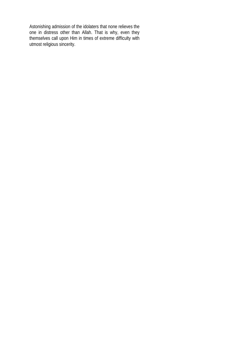Astonishing admission of the idolaters that none relieves the one in distress other than Allah. That is why, even they themselves call upon Him in times of extreme difficulty with utmost religious sincerity.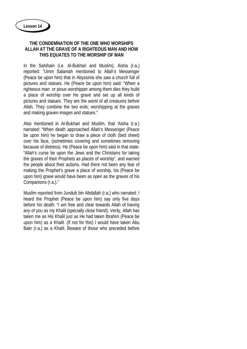## **THE CONDEMNATION OF THE ONE WHO WORSHIPS ALLAH AT THE GRAVE OF A RIGHTEOUS MAN AND HOW THIS EQUATES TO THE WORSHIP OF MAN**

In the Sahihain (i.e. Al-Bukhari and Muslim), Aisha (r.a.) reported: "Umm Salamah mentioned to Allah's Messenger (Peace be upon him) that in Abyssinia she saw a church full of pictures and statues. He (Peace be upon him) said: "When a righteous man or pious worshipper among them dies they build a place of worship over his grave and set up all kinds of pictures and statues. They are the worst of all creatures before Allah. They combine the two evils; worshipping at the graves and making graven images and statues."

Also mentioned in Al-Bukhari and Muslim, that 'Aisha (r.a.) narrated: "When death approached Allah's Messenger (Peace be upon him) he began to draw a piece of cloth (bed sheet) over his face, (sometimes covering and sometimes removing because of distress). He (Peace be upon him) said in that state: "Allah's curse be upon the Jews and the Christians for taking the graves of their Prophets as places of worship", and warned the people about their actions. Had there not been any fear of making the Prophet's grave a place of worship, his (Peace be upon him) grave would have been as open as the graves of his Companions (r.a.)."

Muslim reported from Jundub bin Abdallah (r.a.) who narrated: I heard the Prophet (Peace be upon him) say only five days before his death: "I am free and clear towards Allah of having any of you as my Khalil (specially close friend). Verily, Allah has taken me as His Khalil just as He had taken Ibrahim (Peace be upon him) as a Khalil. (If not for this) I would have taken Abu Bakr (r.a.) as a Khalil. Beware of those who preceded before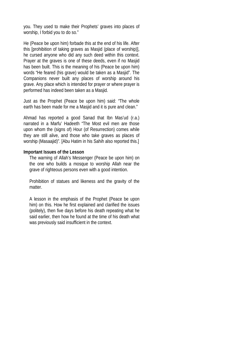you. They used to make their Prophets' graves into places of worship, I forbid you to do so."

He (Peace be upon him) forbade this at the end of his life. After this [prohibition of taking graves as Masjid (place of worship)], he cursed anyone who did any such deed within this context. Prayer at the graves is one of these deeds, even if no Masjid has been built. This is the meaning of his (Peace be upon him) words "He feared (his grave) would be taken as a Masjid". The Companions never built any places of worship around his grave. Any place which is intended for prayer or where prayer is performed has indeed been taken as a Masjid.

Just as the Prophet (Peace be upon him) said: "The whole earth has been made for me a Masjid and it is pure and clean."

Ahmad has reported a good Sanad that Ibn Mas'ud (r.a.) narrated in a Marfu' Hadeeth "The Most evil men are those upon whom the (signs of) Hour (of Resurrection) comes while they are still alive, and those who take graves as places of worship (Masaajid)". [Abu Hatim in his Sahih also reported this.]

### **Important Issues of the Lesson**

The warning of Allah's Messenger (Peace be upon him) on the one who builds a mosque to worship Allah near the grave of righteous persons even with a good intention.

Prohibition of statues and likeness and the gravity of the matter.

A lesson in the emphasis of the Prophet (Peace be upon him) on this. How he first explained and clarified the issues (politely), then five days before his death repeating what he said earlier, then how he found at the time of his death what was previously said insufficient in the context.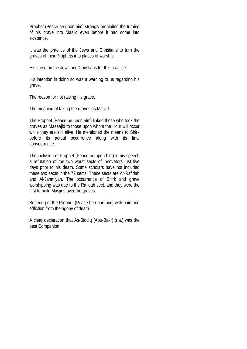Prophet (Peace be upon him) strongly prohibited the turning of his grave into Masjid even before it had come into existence.

It was the practice of the Jews and Christians to turn the graves of their Prophets into places of worship.

His curse on the Jews and Christians for this practice.

His intention in doing so was a warning to us regarding his grave.

The reason for not raising his grave.

The meaning of taking the graves as Masjid.

The Prophet (Peace be upon him) linked those who took the graves as Masaajid to those upon whom the Hour will occur while they are still alive. He mentioned the means to Shirk before its actual occurrence along with its final consequence.

The inclusion of Prophet (Peace be upon him) in his speech a refutation of the two worst sects of innovators just five days prior to his death. Some scholars have not included these two sects in the 72 sects. These sects are Ar-Rafidah and Al-Jahmiyah. The occurrence of Shirk and grave worshipping was due to the Rafidah sect, and they were the first to build Masjids over the graves.

Suffering of the Prophet (Peace be upon him) with pain and affliction from the agony of death.

A clear declaration that As-Siddiq (Abu-Bakr) (r.a.) was the best Companion.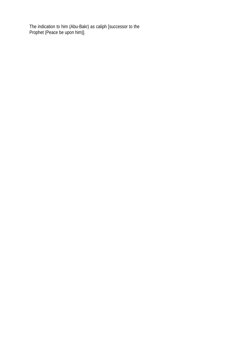The indication to him (Abu-Bakr) as caliph [successor to the Prophet (Peace be upon him)].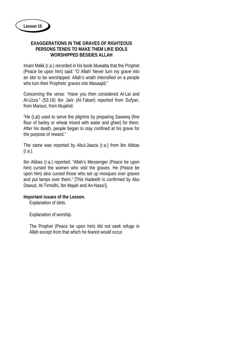## **EXAGGERATIONS IN THE GRAVES OF RIGHTEOUS PERSONS TENDS TO MAKE THEM LIKE IDOLS WORSHIPPED BESIDES ALLAH**

Imam Malik (r.a.) recorded in his book Muwatta that the Prophet (Peace be upon him) said: "O Allah! Never turn my grave into an idol to be worshipped. Allah's wrath intensified on a people who turn their Prophets' graves into Masaajid."

Concerning the verse: "Have you then considered Al-Lat and Al-Uzza." (53:19) Ibn Jarir (At-Tabari) reported from Sufyan, from Mansur, from Mujahid:

"He (Lat) used to serve the pilgrims by preparing Saweeq (fine flour of barley or wheat mixed with water and ghee) for them. After his death, people began to stay confined at his grave for the purpose of reward."

The same was reported by Abul-Jawza (r.a.) from ibn Abbas (r.a.).

Ibn Abbas (r.a.) reported: "Allah's Messenger (Peace be upon him) cursed the women who visit the graves. He (Peace be upon him) also cursed those who set up mosques over graves and put lamps over them." [This Hadeeth is confirmed by Abu Dawud, At-Tirmidhi, Ibn Majah and An-Nasa'i].

## **Important issues of the Lesson.**

Explanation of idols.

Explanation of worship.

The Prophet (Peace be upon him) did not seek refuge in Allah except from that which he feared would occur.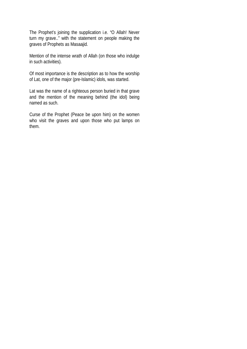The Prophet's joining the supplication i.e. "O Allah! Never turn my grave.." with the statement on people making the graves of Prophets as Masaajid.

Mention of the intense wrath of Allah (on those who indulge in such activities).

Of most importance is the description as to how the worship of Lat, one of the major (pre-Islamic) idols, was started.

Lat was the name of a righteous person buried in that grave and the mention of the meaning behind (the idol) being named as such.

Curse of the Prophet (Peace be upon him) on the women who visit the graves and upon those who put lamps on them.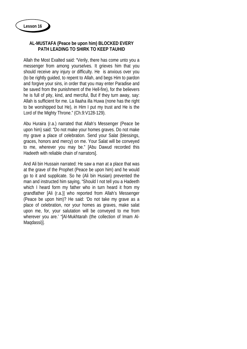## **AL-MUSTAFA (Peace be upon him) BLOCKED EVERY PATH LEADING TO SHIRK TO KEEP TAUHID**

Allah the Most Exalted said: "Verily, there has come unto you a messenger from among yourselves. It grieves him that you should receive any injury or difficulty. He is anxious over you (to be rightly guided, to repent to Allah, and begs Him to pardon and forgive your sins, in order that you may enter Paradise and be saved from the punishment of the Hell-fire), for the believers he is full of pity, kind, and merciful, But if they turn away, say: Allah is sufficient for me. La Ilaaha illa Huwa (none has the right to be worshipped but He), in Him I put my trust and He is the Lord of the Mighty Throne." (Ch.9:V128-129).

Abu Huraira (r.a.) narrated that Allah's Messenger (Peace be upon him) said: "Do not make your homes graves. Do not make my grave a place of celebration. Send your Salat (blessings, graces, honors and mercy) on me. Your Salat will be conveyed to me, wherever you may be." [Abu Dawud recorded this Hadeeth with reliable chain of narrators].

And Ali bin Hussain narrated: He saw a man at a place that was at the grave of the Prophet (Peace be upon him) and he would go to it and supplicate. So he (Ali bin Husian) prevented the man and instructed him saying, "Should I not tell you a Hadeeth which I heard form my father who in turn heard it from my grandfather [Ali (r.a.)] who reported from Allah's Messenger (Peace be upon him)? He said: 'Do not take my grave as a place of celebration, nor your homes as graves, make salat upon me, for, your salutation will be conveyed to me from wherever you are.' "[Al-Mukhtarah (the collection of Imam Al-Maqdassi)].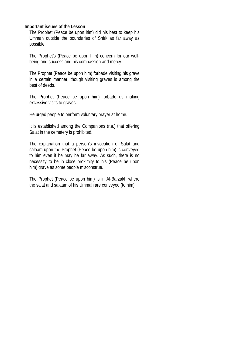#### **Important issues of the Lesson**

The Prophet (Peace be upon him) did his best to keep his Ummah outside the boundaries of Shirk as far away as possible.

The Prophet's (Peace be upon him) concern for our wellbeing and success and his compassion and mercy.

The Prophet (Peace be upon him) forbade visiting his grave in a certain manner, though visiting graves is among the best of deeds.

The Prophet (Peace be upon him) forbade us making excessive visits to graves.

He urged people to perform voluntary prayer at home.

It is established among the Companions (r.a.) that offering Salat in the cemetery is prohibited.

The explanation that a person's invocation of Salat and salaam upon the Prophet (Peace be upon him) is conveyed to him even if he may be far away. As such, there is no necessity to be in close proximity to his (Peace be upon him) grave as some people misconstrue.

The Prophet (Peace be upon him) is in Al-Barzakh where the salat and salaam of his Ummah are conveyed (to him).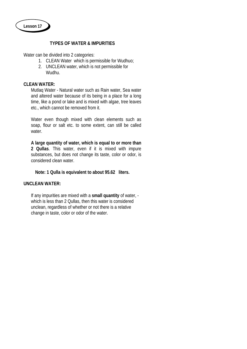

### **TYPES OF WATER & IMPURITIES**

Water can be divided into 2 categories:

- 1. CLEAN Water which is permissible for Wudhuo;
- 2. UNCLEAN water, which is not permissible for Wudhu.

## **CLEAN WATER:**

Mutlaq Water - Natural water such as Rain water, Sea water and altered water because of its being in a place for a long time, like a pond or lake and is mixed with algae, tree leaves etc., which cannot be removed from it.

Water even though mixed with clean elements such as soap, flour or salt etc. to some extent, can still be called water.

**A large quantity of water, which is equal to or more than 2 Qullas**. This water, even if it is mixed with impure substances, but does not change its taste, color or odor, is considered clean water.

**Note: 1 Qulla is equivalent to about 95.62 liters.**

## **UNCLEAN WATER:**

If any impurities are mixed with a **small quantity** of water, which is less than 2 Qullas, then this water is considered unclean, regardless of whether or not there is a relative change in taste, color or odor of the water.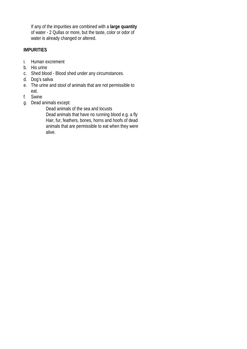If any of the impurities are combined with a **large quantity** of water - 2 Qullas or more, but the taste, color or odor of water is already changed or altered.

# **IMPURITIES**

- i. Human excrement
- b. His urine
- c. Shed blood Blood shed under any circumstances.
- d. Dog's saliva
- e. The urine and stool of animals that are not permissible to eat.
- f. Swine
- g. Dead animals except:

Dead animals of the sea and locusts Dead animals that have no running blood e.g. a fly Hair, fur, feathers, bones, horns and hoofs of dead animals that are permissible to eat when they were alive.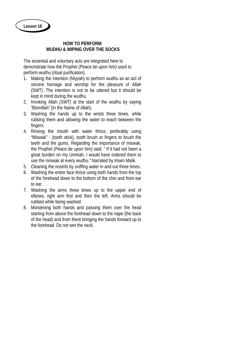### **HOW TO PERFORM WUDHU & WIPING OVER THE SOCKS**

The essential and voluntary acts are integrated here to demonstrate how the Prophet *(Peace be upon him)* used to perform wudhu (ritual purification).

- 1. Making the intention (Niyyah) to perform wudhu as an act of sincere homage and worship for the pleasure of Allah (SWT). The intention is not to be uttered but it should be kept in mind during the wudhu.
- 2. Invoking Allah *(SWT)* at the start of the wudhu by saying "Bismillah" (In the Name of Allah).
- 3. Washing the hands up to the wrists three times, while rubbing them and allowing the water to reach between the fingers.
- 4. Rinsing the mouth with water thrice, preferably using "Miswak" - (tooth stick), tooth brush or fingers to brush the teeth and the gums. Regarding the importance of miswak, the Prophet *(Peace be upon him)* said, " If it had not been a great burden on my Ummah, I would have ordered them to use the miswak at every wudhu." Narrated by Imam Malik.
- 5. Cleaning the nostrils by sniffing water in and out three times.
- 6. Washing the entire face thrice using both hands from the top of the forehead down to the bottom of the chin and from ear to ear.
- 7. Washing the arms three times up to the upper end of elbows, right arm first and then the left. Arms should be rubbed while being washed.
- 8. Moistening both hands and passing them over the head starting from above the forehead down to the nape (the back of the head) and from there bringing the hands forward up to the forehead. Do not wet the neck.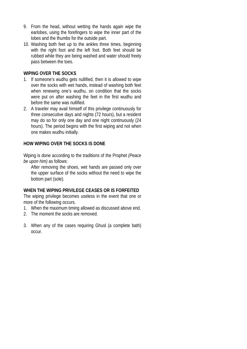- 9. From the head, without wetting the hands again wipe the earlobes, using the forefingers to wipe the inner part of the lobes and the thumbs for the outside part.
- 10. Washing both feet up to the ankles three times, beginning with the right foot and the left foot. Both feet should be rubbed while they are being washed and water should freely pass between the toes.

## **WIPING OVER THE SOCKS**

- 1. If someone's wudhu gets nullified, then it is allowed to wipe over the socks with wet hands, instead of washing both feet when renewing one's wudhu, on condition that the socks were put on after washing the feet in the first wudhu and before the same was nullified.
- 2. A traveler may avail himself of this privilege continuously for three consecutive days and nights (72 hours), but a resident may do so for only one day and one night continuously (24 hours). The period begins with the first wiping and not when one makes wudhu initially.

# **HOW WIPING OVER THE SOCKS IS DONE**

Wiping is done according to the traditions of the Prophet *(Peace be upon him)* as follows:

After removing the shoes, wet hands are passed only over the upper surface of the socks without the need to wipe the bottom part (sole).

## **WHEN THE WIPING PRIVILEGE CEASES OR IS FORFEITED**

The wiping privilege becomes useless in the event that one or more of the following occurs.

- 1. When the maximum timing allowed as discussed above end.
- 2. The moment the socks are removed.
- 3. When any of the cases requiring Ghusl (a complete bath) occur.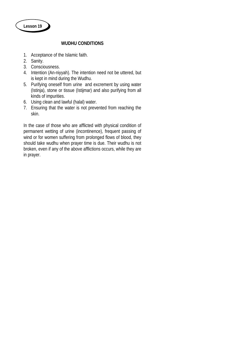

## **WUDHU CONDITIONS**

- 1. Acceptance of the Islamic faith.
- 2. Sanity.
- 3. Consciousness.
- 4. Intention (An-niyyah). The intention need not be uttered, but is kept in mind during the Wudhu.
- 5. Purifying oneself from urine and excrement by using water (Istinja), stone or tissue (Istijmar) and also purifying from all kinds of impurities.
- 6. Using clean and lawful (halal) water.
- 7. Ensuring that the water is not prevented from reaching the skin.

In the case of those who are afflicted with physical condition of permanent wetting of urine (incontinence), frequent passing of wind or for women suffering from prolonged flows of blood, they should take wudhu when prayer time is due. Their wudhu is not broken, even if any of the above afflictions occurs, while they are in prayer.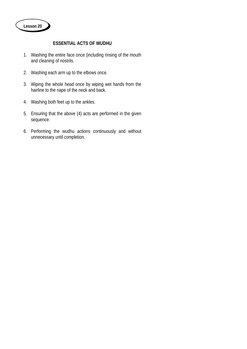## **ESSENTIAL ACTS OF WUDHU**

- 1. Washing the entire face once (including rinsing of the mouth and cleaning of nostrils.
- 2. Washing each arm up to the elbows once.
- 3. Wiping the whole head once by wiping wet hands from the hairline to the nape of the neck and back.
- 4. Washing both feet up to the ankles.
- 5. Ensuring that the above (4) acts are performed in the given sequence.
- 6. Performing the wudhu actions continuously and without unnecessary until completion.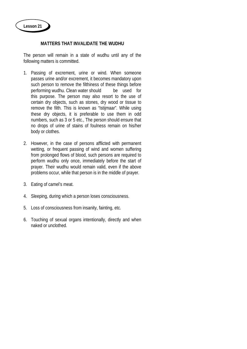## **MATTERS THAT INVALIDATE THE WUDHU**

The person will remain in a state of wudhu until any of the following matters is committed.

- 1. Passing of excrement, urine or wind. When someone passes urine and/or excrement, it becomes mandatory upon such person to remove the filthiness of these things before performing wudhu. Clean water should be used for this purpose. The person may also resort to the use of certain dry objects, such as stones, dry wood or tissue to remove the filth. This is known as "Istijmaar". While using these dry objects, it is preferable to use them in odd numbers, such as 3 or 5 etc., The person should ensure that no drops of urine of stains of foulness remain on his/her body or clothes.
- 2. However, in the case of persons afflicted with permanent wetting, or frequent passing of wind and women suffering from prolonged flows of blood, such persons are required to perform wudhu only once, immediately before the start of prayer. Their wudhu would remain valid, even if the above problems occur, while that person is in the middle of prayer.
- 3. Eating of camel's meat.
- 4. Sleeping, during which a person loses consciousness.
- 5. Loss of consciousness from insanity, fainting, etc.
- 6. Touching of sexual organs intentionally, directly and when naked or unclothed.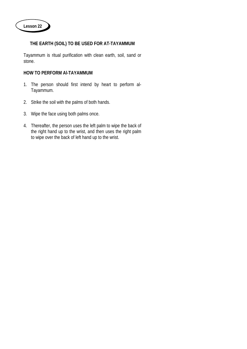# **THE EARTH (SOIL) TO BE USED FOR AT-TAYAMMUM**

Tayammum is ritual purification with clean earth, soil, sand or stone.

## **HOW TO PERFORM Al-TAYAMMUM**

- 1. The person should first intend by heart to perform al-Tayammum.
- 2. Strike the soil with the palms of both hands.
- 3. Wipe the face using both palms once.
- 4. Thereafter, the person uses the left palm to wipe the back of the right hand up to the wrist, and then uses the right palm to wipe over the back of left hand up to the wrist.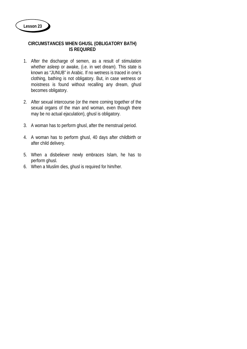## **CIRCUMSTANCES WHEN GHUSL (OBLIGATORY BATH) IS REQUIRED**

- 1. After the discharge of semen, as a result of stimulation whether asleep or awake, (i.e. in wet dream). This state is known as "JUNUB" in Arabic. If no wetness is traced in one's clothing, bathing is not obligatory. But, in case wetness or moistness is found without recalling any dream, ghusl becomes obligatory.
- 2. After sexual intercourse (or the mere coming together of the sexual organs of the man and woman, even though there may be no actual ejaculation), ghusl is obligatory.
- 3. A woman has to perform ghusl, after the menstrual period.
- 4. A woman has to perform ghusl, 40 days after childbirth or after child delivery.
- 5. When a disbeliever newly embraces Islam, he has to perform ghusl.
- 6. When a Muslim dies, ghusl is required for him/her.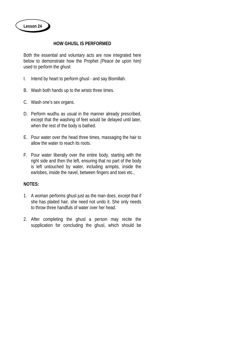## **HOW GHUSL IS PERFORMED**

Both the essential and voluntary acts are now integrated here below to demonstrate how the Prophet *(Peace be upon him)* used to perform the ghusl:

- I. Intend by heart to perform ghusl and say Bismillah.
- B. Wash both hands up to the wrists three times.
- C. Wash one's sex organs.
- D. Perform wudhu as usual in the manner already prescribed, except that the washing of feet would be delayed until later, when the rest of the body is bathed.
- E. Pour water over the head three times, massaging the hair to allow the water to reach its roots.
- F. Pour water liberally over the entire body, starting with the right side and then the left, ensuring that no part of the body is left untouched by water, including armpits, inside the earlobes, inside the navel, between fingers and toes etc.,

# **NOTES:**

- 1. A woman performs ghusl just as the man does, except that if she has plaited hair, she need not undo it. She only needs to throw three handfuls of water over her head.
- 2. After completing the ghusl a person may recite the supplication for concluding the ghusl, which should be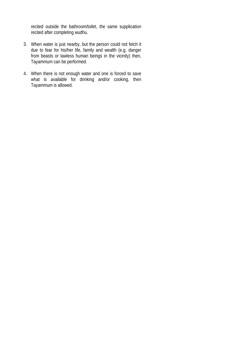recited outside the bathroom/toilet, the same supplication recited after completing wudhu.

- 3. When water is just nearby, but the person could not fetch it due to fear for his/her life, family and wealth (e.g. danger from beasts or lawless human beings in the vicinity) then, Tayammum can be performed.
- 4. When there is not enough water and one is forced to save what is available for drinking and/or cooking, then Tayammum is allowed.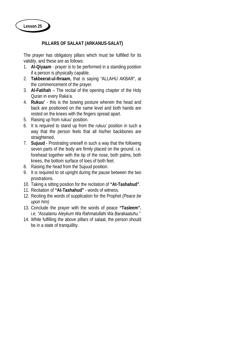## **PILLARS OF SALAAT (ARKANUS-SALAT)**

The prayer has obligatory pillars which must be fulfilled for its validity, and these are as follows:

- 1. **Al-Qiyaam** prayer is to be performed in a standing position if a person is physically capable.
- 2. **Takbeerat-ul-Ihraam,** that is saying "ALLAHU AKBAR", at the commencement of the prayer.
- 3. **Al-Fatihah** The recital of the opening chapter of the Holy Quran in every Raka'a.
- 4. **Rukuu'** this is the bowing posture wherein the head and back are positioned on the same level and both hands are rested on the knees with the fingers spread apart.
- 5. Raising up from rukuu' position.
- 6. It is required to stand up from the rukuu' position in such a way that the person feels that all his/her backbones are straightened.
- 7. **Sujuud** Prostrating oneself in such a way that the following seven parts of the body are firmly placed on the ground. i.e. forehead together with the tip of the nose, both palms, both knees, the bottom surface of toes of both feet.
- 8. Raising the head from the Sujuud position.
- 9. It is required to sit upright during the pause between the two prostrations.
- 10. Taking a sitting position for the recitation of **"At-Tashahud"**.
- 11. Recitation of **"At-Tashahud"** words of witness.
- 12. Reciting the words of supplication for the Prophet *(Peace be upon him)*
- 13. Conclude the prayer with the words of peace **"Tasleem".** i.e. *"Assalamu Aleykum Wa Rahmatullahi Wa Barakaatuhu."*
- 14. While fulfilling the above pillars of salaat, the person should be in a state of tranquillity.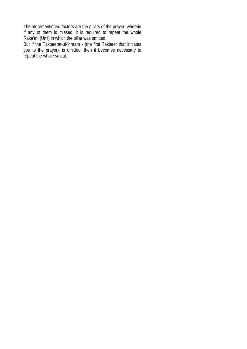The aforementioned factors are the pillars of the prayer, wherein if any of them is missed, it is required to repeat the whole Raka'ah (Unit) in which the pillar was omitted.

But if the Takbeerat-ul-Ihraam - (the first Takbeer that initiates you to the prayer), is omitted, then it becomes necessary to repeat the whole salaat.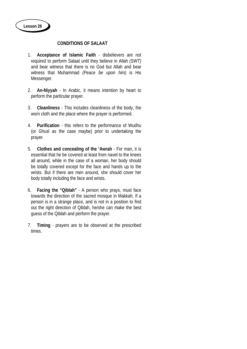**CONDITIONS OF SALAAT**

- 1. **Acceptance of Islamic Faith** disbelievers are not required to perform Salaat until they believe in Allah *(SWT)* and bear witness that there is no God but Allah and bear witness that Muhammad *(Peace be upon him)* is His Messenger.
- 2. **An-Niyyah** In Arabic, it means intention by heart to perform the particular prayer.
- 3. **Cleanliness** This includes cleanliness of the body, the worn cloth and the place where the prayer is performed.
- 4. **Purification** this refers to the performance of Wudhu (or Ghusl as the case maybe) prior to undertaking the prayer.
- 5. **Clothes and concealing of the 'Awrah** For man, it is essential that he be covered at least from navel to the knees all around, while in the case of a woman, her body should be totally covered except for the face and hands up to the wrists. But if there are men around, she should cover her body totally including the face and wrists.
- 6. **Facing the "Qiblah"** A person who prays, must face towards the direction of the sacred mosque in Makkah. If a person is in a strange place, and is not in a position to find out the right direction of Qiblah, he/she can make the best guess of the Qiblah and perform the prayer.
- 7. **Timing** prayers are to be observed at the prescribed times.

**Lesson 26**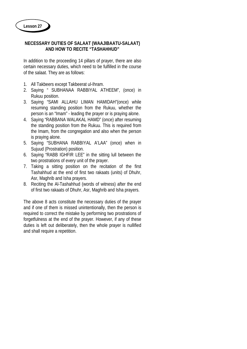## **NECESSARY DUTIES OF SALAAT (WAAJIBAATU-SALAAT) AND HOW TO RECITE "TASHAHHUD"**

In addition to the proceeding 14 pillars of prayer, there are also certain necessary duties, which need to be fulfilled in the course of the salaat. They are as follows:

- 1. All Takbeers except Takbeerat ul-Ihram.
- 2. Saying " SUBHANAA RABBIYAL ATHEEM", (once) in Rukuu position.
- 3. Saying "SAMI ALLAHU LIMAN HAMIDAH"(once) while resuming standing position from the Rukuu, whether the person is an "Imam" - leading the prayer or is praying alone.
- 4. Saying "RABBANA WALAKAL HAMD" (once) after resuming the standing position from the Rukuu. This is required from the Imam, from the congregation and also when the person is praying alone.
- 5. Saying "SUBHANA RABBIYAL A'LAA" (once) when in Sujuud (Prostration) position.
- 6. Saying "RABB IGHFIR LEE" in the sitting lull between the two prostrations of every unit of the prayer.
- 7. Taking a sitting position on the recitation of the first Tashahhud at the end of first two rakaats (units) of Dhuhr, Asr, Maghrib and Isha prayers.
- 8. Reciting the Al-Tashahhud (words of witness) after the end of first two rakaats of Dhuhr, Asr, Maghrib and Isha prayers.

The above 8 acts constitute the necessary duties of the prayer and if one of them is missed unintentionally, then the person is required to correct the mistake by performing two prostrations of forgetfulness at the end of the prayer. However, if any of these duties is left out deliberately, then the whole prayer is nullified and shall require a repetition.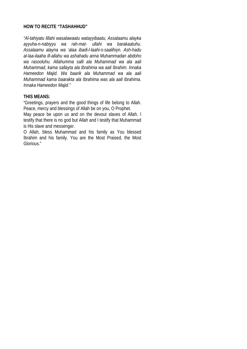### **HOW TO RECITE "TASHAHHUD"**

*"Al-tahiyatu lillahi wasalawaatu watayyibaatu, Assalaamu alayka ayyuha-n-nabiyyu wa rah-mat- ullahi wa barakaatuhu. Assalaamu alayna wa 'alaa ibadi-l-laahi-s-saalihiyn. Ash-hadu al-laa-ilaaha ill-allahu wa ashahadu anna Muhammadan abdoho wa rasooluhu. Allahumma salli ala Muhammad wa ala aali Muhammad, kama sallayta ala Ibrahima wa aali Ibrahim. Innaka Hameedon Majid. Wa baarik ala Muhammad wa ala aali Muhammad kama baarakta ala Ibrahima was ala aali Ibrahima. Innaka Hameedon Majid."*

## **THIS MEANS:**

"Greetings, prayers and the good things of life belong to Allah. Peace, mercy and blessings of Allah be on you, O Prophet.

May peace be upon us and on the devout slaves of Allah. I testify that there is no god but Allah and I testify that Muhammad is His slave and messenger.

O Allah, bless Muhammad and his family as You blessed Ibrahim and his family. You are the Most Praised, the Most Glorious."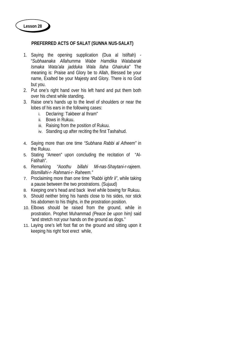## **PREFERRED ACTS OF SALAT (SUNNA NUS-SALAT)**

- 1. Saying the opening supplication (Dua al Istiftah) "*Subhaanaka Allahumma Wabe Hamdika Watabarak Ismaka Wata'ala jadduka Wala Ilaha Ghairuka"* The meaning is: Praise and Glory be to Allah, Blessed be your name, Exalted be your Majesty and Glory. There is no God but you.
- 2. Put one's right hand over his left hand and put them both over his chest while standing.
- 3. Raise one's hands up to the level of shoulders or near the lobes of his ears in the following cases:
	- i. Declaring: Takbeer al Ihram"
	- ii. Bows in Rukuu.
	- iii. Raising from the position of Rukuu.
	- iv. Standing up after reciting the first Tashahud.
- 4. Saying more than one time *"Subhana Rabbi al Atheem"* in the Rukuu.
- 5. Stating "Ameen" upon concluding the recitation of "Al-Fatihah".
- 6. Remarking *"Aoothu billahi Mi-nas-Shaytani-r-rajeem. Bismillahi-r- Rahmani-r- Raheem."*
- 7. Proclaiming more than one time *"Rabbi ighfir li"*, while taking a pause between the two prostrations. (Sujuud)
- 8. Keeping one's head and back level while bowing for Rukuu.
- 9. Should neither bring his hands close to his sides, nor stick his abdomen to his thighs, in the prostration position.
- 10. Elbows should be raised from the ground, while in prostration. Prophet Muhammad *(Peace be upon him)* said "and stretch not your hands on the ground as dogs."
- 11. Laying one's left foot flat on the ground and sitting upon it keeping his right foot erect while,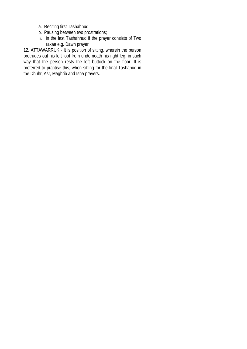- a. Reciting first Tashahhud;
- b. Pausing between two prostrations;
- iii. in the last Tashahhud if the prayer consists of Two rakaa e.g. Dawn prayer

12. ATTAWARRUK - It is position of sitting, wherein the person protrudes out his left foot from underneath his right leg, in such way that the person rests the left buttock on the floor. It is preferred to practise this, when sitting for the final Tashahud in the Dhuhr, Asr, Maghrib and Isha prayers.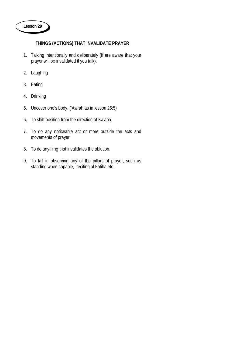

# **THINGS (ACTIONS) THAT INVALIDATE PRAYER**

- . Talking intentionally and deliberately (If are aware that your prayer will be invalidated if you talk).
- . Laughing
- . Eating
- . Drinking
- . Uncover one's body. ('Awrah as in lesson 26:5)
- . To shift position from the direction of Ka'aba.
- . To do any noticeable act or more outside the acts and movements of prayer
- . To do anything that invalidates the ablution.
- . To fail in observing any of the pillars of prayer, such as standing when capable, reciting al Fatiha etc.,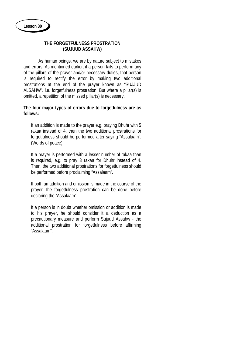### **THE FORGETFULNESS PROSTRATION (SUJUUD ASSAHW)**

As human beings, we are by nature subject to mistakes and errors. As mentioned earlier, if a person fails to perform any of the pillars of the prayer and/or necessary duties, that person is required to rectify the error by making two additional prostrations at the end of the prayer known as "SUJJUD ALSAHW". i.e. forgetfulness prostration. But where a pillar(s) is omitted, a repetition of the missed pillar(s) is necessary.

### **The four major types of errors due to forgetfulness are as follows:**

 If an addition is made to the prayer e.g. praying Dhuhr with 5 rakaa instead of 4, then the two additional prostrations for forgetfulness should be performed after saying "Assalaam". (Words of peace).

If a prayer is performed with a lesser number of rakaa than is required, e.g. to pray 3 rakaa for Dhuhr instead of 4. Then, the two additional prostrations for forgetfulness should be performed before proclaiming "Assalaam".

If both an addition and omission is made in the course of the prayer, the forgetfulness prostration can be done before declaring the "Assalaam".

If a person is in doubt whether omission or addition is made to his prayer, he should consider it a deduction as a precautionary measure and perform Sujuud Assahw - the additional prostration for forgetfulness before affirming "Assalaam".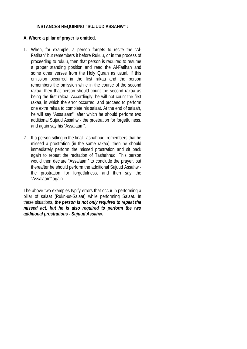### **INSTANCES REQUIRING "SUJUUD ASSAHW" :**

## **A. Where a pillar of prayer is omitted.**

- 1. When, for example, a person forgets to recite the "Al-Fatihah" but remembers it before Rukuu, or in the process of proceeding to rukuu, then that person is required to resume a proper standing position and read the Al-Fatihah and some other verses from the Holy Quran as usual. If this omission occurred in the first rakaa and the person remembers the omission while in the course of the second rakaa, then that person should count the second rakaa as being the first rakaa. Accordingly, he will not count the first rakaa, in which the error occurred, and proceed to perform one extra rakaa to complete his salaat. At the end of salaah, he will say "Assalaam", after which he should perform two additional Sujuud Assahw - the prostration for forgetfulness, and again say his "Assalaam".
- 2. If a person sitting in the final Tashahhud, remembers that he missed a prostration (in the same rakaa), then he should immediately perform the missed prostration and sit back again to repeat the recitation of Tashahhud. This person would then declare "Assalaam" to conclude the prayer, but thereafter he should perform the additional Sujuud Assahw the prostration for forgetfulness, and then say the "Assalaam" again.

The above two examples typify errors that occur in performing a pillar of salaat (Rukn-us-Salaat) while performing Salaat. In these situations, *the person is not only required to repeat the missed act, but he is also required to perform the two additional prostrations - Sujuud Assahw.*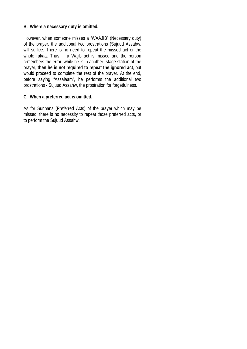## **B. Where a necessary duty is omitted.**

However, when someone misses a "WAAJIB" (Necessary duty) of the prayer, the additional two prostrations (Sujuud Assahw, will suffice. There is no need to repeat the missed act or the whole rakaa. Thus, if a Wajib act is missed and the person remembers the error, while he is in another stage station of the prayer, **then he is not required to repeat the ignored act**, but would proceed to complete the rest of the prayer. At the end, before saying "Assalaam", he performs the additional two prostrations - Sujuud Assahw, the prostration for forgetfulness.

## **C. When a preferred act is omitted.**

As for Sunnans (Preferred Acts) of the prayer which may be missed, there is no necessity to repeat those preferred acts, or to perform the Sujuud Assahw.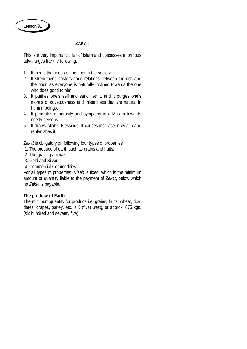# **ZAKAT**

This is a very important pillar of Islam and possesses enormous advantages like the following.

- 1. It meets the needs of the poor in the society.
- 2. It strengthens, fosters good relations between the rich and the poor, as everyone is naturally inclined towards the one who does good to him.
- 3. It purifies one's self and sanctifies it, and it purges one's morals of covetousness and miserliness that are natural in human beings.
- 4. It promotes generosity and sympathy in a Muslim towards needy persons.
- 5. It draws Allah's Blessings; It causes increase in wealth and replenishes it.

*Zakat* is obligatory on following four types of properties:

- 1. The produce of earth such as grains and fruits.
- 2. The grazing animals.
- 3. Gold and Silver.
- 4. Commercial Commodities.

For all types of properties, *Nisab* is fixed, which is the minimum amount or quantity liable to the payment of *Zakat*, below which no *Zakat* is payable.

## **The produce of Earth:**

The minimum quantity for produce i.e. grains, fruits, wheat, rice, dates, grapes, barley, etc. is 5 (five) *wasq,* or approx. 675 kgs. (six hundred and seventy five)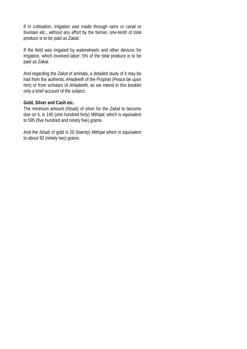If in cultivation, irrigation was made through rains or canal or fountain etc., without any effort by the farmer, one-tenth of total produce is to be paid as *Zaka*t.

If the field was irrigated by waterwheels and other devices for irrigation, which involved labor; 5% of the total produce is to be paid as *Zakat*.

And regarding the *Zakat* of animals, a detailed study of it may be had from the authentic *AHadeeth* of the Prophet (Peace be upon him) or from scholars of *AHadeeth,* as we intend in this booklet only a brief account of the subject.

### **Gold, Silver and Cash etc.**

The minimum amount *(Nisab)* of silver for the *Zakat* to become due on it, is 140 (one hundred forty) *Mithqal*, which is equivalent to 595 (five hundred and ninety five) grams.

And the *Nisab* of gold is 20 (twenty) *Mithqal* which is equivalent to about 92 (ninety two) grams.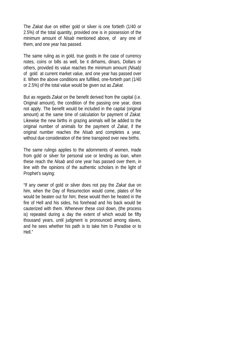The *Zakat* due on either gold or silver is one fortieth (1/40 or 2.5%) of the total quantity, provided one is in possession of the minimum amount of *Nisab* mentioned above, of any one of them, and one year has passed.

The same ruling as in gold, true goods in the case of currency notes, coins or bills as well, be it dirhams, dinars, Dollars or others, provided its value reaches the minimum amount *(Nisab)* of gold at current market value, and one year has passed over it. When the above conditions are fulfilled, one-fortieth part (1/40 or 2.5%) of the total value would be given out as *Zakat*.

But as regards *Zakat* on the benefit derived from the capital (i.e. Original amount), the condition of the passing one year, does not apply. The benefit would be included in the capital (original amount) at the same time of calculation for payment of *Zakat.* Likewise the new births in grazing animals will be added to the original number of animals for the payment of *Zakat*, if the original number reaches the *Nisab* and completes a year, without due consideration of the time transpired over new births.

The same rulings applies to the adornments of women, made from gold or silver for personal use or lending as loan, when these reach the *Nisab* and one year has passed over them, in line with the opinions of the authentic scholars in the light of Prophet's saying:

"If any owner of gold or silver does not pay the *Zakat* due on him, when the Day of Resurrection would come, plates of fire would be beaten out for him; these would then be heated in the fire of Hell and his sides, his forehead and his back would be cauterized with them. Whenever these cool down, (the process is) repeated during a day the extent of which would be fifty thousand years, until judgment is pronounced among slaves, and he sees whether his path is to take him to Paradise or to Hell."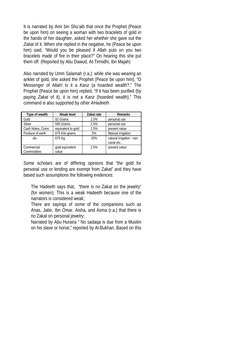It is narrated by Amr bin Shu'aib that once the Prophet (Peace be upon him) on seeing a woman with two bracelets of gold in the hands of her daughter, asked her whether she gave out the *Zakat* of it. When she replied in the negative, he (Peace be upon him) said, "Would you be pleased if Allah puts on you two bracelets made of fire in their place?" On hearing this she put them off. (Reported by Abu Dawud, At-Tirmidhi, Ibn Majah)

Also narrated by Umm Salamah (r.a.): while she was wearing an anklet of gold, she asked the Prophet (Peace be upon him), "O Messenger of Allah! Is it a *Kanz* (a hoarded wealth?." The Prophet (Peace be upon him) replied, "If it has been purified (by paying *Zakat* of it), it is not a *Kanz* (hoarded wealth)." This command is also supported by other *AHadeeth*.

| Type of wealth    | Nisab level        | Zakat rate | <b>Remarks</b>            |
|-------------------|--------------------|------------|---------------------------|
| Gold              | 92 Grams           | 2.5%       | personal use              |
| Silver            | 595 Grams          | 2.5%       | personal use              |
| Cash Notes, Coins | equivalent to gold | 2.5%       | present value             |
| Produce of earth  | 675 Kilo grams     | 5%         | Manual irrigation         |
| -do-              | 675 Kg.            | 10%        | natural irrigation - rain |
|                   |                    |            | canal etc.,               |
| Commercial        | gold equivalent    | 2.5%       | present value             |
| Commodities       | value              |            |                           |

Some scholars are of differing opinions that "the gold for personal use or lending are exempt from Zakat" and they have based such assumptions the following evidences:

The Hadeeth says that, "there is no Zakat on the jewelry" (for women). This is a weak Hadeeth because one of the narrators is considered weak;

There are sayings of some of the companions such as Anas, Jabir, Ibn Omar, Aisha, and Asma (r.a.) that there is no Zakat on personal jewelry;

Narrated by Abu Huraira " No sadaqa is due from a Muslim on his slave or horse," reported by Al-Bukhari. Based on this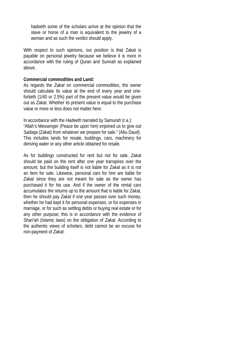hadeeth some of the scholars arrive at the opinion that the slave or horse of a man is equivalent to the jewelry of a woman and as such the verdict should apply.

With respect to such opinions, our position is that Zakat is payable on personal jewelry because we believe it is more in accordance with the ruling of Quran and Sunnah as explained above.

#### **Commercial commodities and Land:**

As regards the *Zakat* on commercial commodities, the owner should calculate its value at the end of every year and onefortieth (1/40 or 2.5%) part of the present value would be given out as *Zakat.* Whether its present value is equal to the purchase value or more or less does not matter here.

In accordance with the *Hadeeth* narrated by Samurah (r.a.): "Allah's Messenger (Peace be upon him) enjoined us to give out *Sadaqa* (Zakat) from whatever we prepare for sale." (Abu Daud) This includes lands for resale, buildings, cars, machinery for deriving water or any other article obtained for resale.

As for buildings constructed for rent but not for sale, *Zakat* should be paid on the rent after one year transpires over the amount; but the building itself is not liable for *Zakat* as it is not an item for sale. Likewise, personal cars for hire are liable for *Zakat* since they are not meant for sale as the owner has purchased it for his use. And if the owner of the rental cars accumulates the returns up to the amount that is liable for *Zakat*, then he should pay *Zakat* if one year passes over such money, whether he had kept it for personal expenses, or for expenses in marriage, or for such as settling debts or buying real estate or for any other purpose; this is in accordance with the evidence of *Shari'ah* (Islamic laws) on the obligation of *Zakat*. According to the authentic views of scholars, debt cannot be an excuse for non-payment of *Zakat*.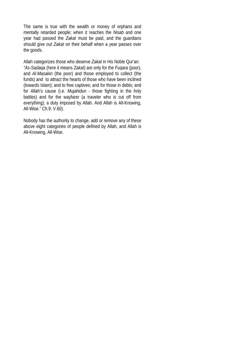The same is true with the wealth or money of orphans and mentally retarded people; when it reaches the *Nisab* and one year had passed the *Zakat* must be paid, and the guardians should give out *Zakat* on their behalf when a year passes over the goods.

Allah categorizes those who deserve *Zakat* in His Noble Qur'an: *"As-Sadaqa* (here it means *Zakat*) are only for the *Fuqara* (poor), and *Al-Masakin* (the poor) and those employed to collect (the funds) and to attract the hearts of those who have been inclined (towards Islam); and to free captives; and for those in debts; and for Allah's cause (i.e. *Mujahidun -* those fighting in the holy battles) and for the wayfarer (a traveler who is cut off from everything); a duty imposed by Allah. And Allah is All-Knowing, All-Wise." Ch.9: V.60).

Nobody has the authority to change, add or remove any of these above eight categories of people defined by Allah, and Allah is All-Knowing, All-Wise.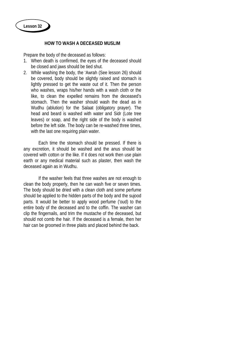#### **HOW TO WASH A DECEASED MUSLIM**

Prepare the body of the deceased as follows:

- 1. When death is confirmed, the eyes of the deceased should be closed and jaws should be tied shut.
- 2. While washing the body, the 'Awrah (See lesson 26) should be covered, body should be slightly raised and stomach is lightly pressed to get the waste out of it. Then the person who washes, wraps his/her hands with a wash cloth or the like, to clean the expelled remains from the deceased's stomach. Then the washer should wash the dead as in Wudhu (ablution) for the Salaat (obligatory prayer). The head and beard is washed with water and Sidr (Lote tree leaves) or soap, and the right side of the body is washed before the left side. The body can be re-washed three times, with the last one requiring plain water.

Each time the stomach should be pressed. If there is any excretion, it should be washed and the anus should be covered with cotton or the like. If it does not work then use plain earth or any medical material such as plaster, then wash the deceased again as in Wudhu.

If the washer feels that three washes are not enough to clean the body properly, then he can wash five or seven times. The body should be dried with a clean cloth and some perfume should be applied to the hidden parts of the body and the sujood parts. It would be better to apply wood perfume ('oud) to the entire body of the deceased and to the coffin. The washer can clip the fingernails, and trim the mustache of the deceased, but should not comb the hair. If the deceased is a female, then her hair can be groomed in three plaits and placed behind the back.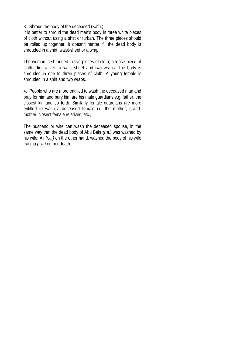3. Shroud the body of the deceased (Kafn.)

It is better to shroud the dead man's body in three white pieces of cloth without using a shirt or turban. The three pieces should be rolled up together. It doesn't matter if the dead body is shrouded in a shirt, waist-sheet or a wrap.

The woman is shrouded in five pieces of cloth; a loose piece of cloth (dir), a veil, a waist-sheet and two wraps. The body is shrouded in one to three pieces of cloth. A young female is shrouded in a shirt and two wraps.

4. People who are more entitled to wash the deceased man and pray for him and bury him are his male guardians e.g. father, the closest kin and so forth. Similarly female guardians are more entitled to wash a deceased female i.e. the mother, grandmother, closest female relatives, etc.,

The husband or wife can wash the deceased spouse, in the same way that the dead body of Abu Bakr *(r.a.)* was washed by his wife. Ali *(r.a.)* on the other hand, washed the body of his wife Fatima *(r.a.)* on her death.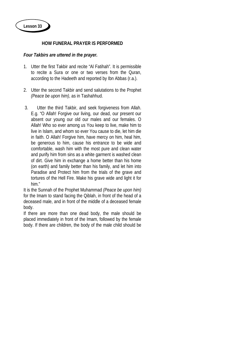## **HOW FUNERAL PRAYER IS PERFORMED**

## *Four Takbirs are uttered in the prayer.*

- 1. Utter the first Takbir and recite "Al Fatihah". It is permissible to recite a Sura or one or two verses from the Quran, according to the Hadeeth and reported by Ibn Abbas (r.a.).
- 2. Utter the second Takbir and send salutations to the Prophet *(Peace be upon him)*, as in Tashahhud.
- 3. Utter the third Takbir, and seek forgiveness from Allah. E.g. "O Allah! Forgive our living, our dead, our present our absent our young our old our males and our females. O Allah! Who so ever among us You keep to live, make him to live in Islam, and whom so ever You cause to die, let him die in faith. O Allah! Forgive him, have mercy on him, heal him, be generous to him, cause his entrance to be wide and comfortable, wash him with the most pure and clean water and purify him from sins as a white garment is washed clean of dirt. Give him in exchange a home better than his home (on earth) and family better than his family, and let him into Paradise and Protect him from the trials of the grave and tortures of the Hell Fire. Make his grave wide and light it for him."

It is the Sunnah of the Prophet Muhammad *(Peace be upon him)* for the Imam to stand facing the Qiblah, in front of the head of a deceased male, and in front of the middle of a deceased female body.

If there are more than one dead body, the male should be placed immediately in front of the Imam, followed by the female body. If there are children, the body of the male child should be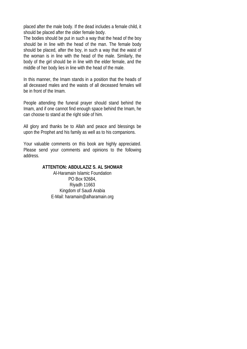placed after the male body. If the dead includes a female child, it should be placed after the older female body.

The bodies should be put in such a way that the head of the boy should be in line with the head of the man. The female body should be placed, after the boy, in such a way that the waist of the woman is in line with the head of the male. Similarly, the body of the girl should be in line with the elder female, and the middle of her body lies in line with the head of the male.

In this manner, the Imam stands in a position that the heads of all deceased males and the waists of all deceased females will be in front of the Imam.

People attending the funeral prayer should stand behind the Imam, and if one cannot find enough space behind the Imam, he can choose to stand at the right side of him.

All glory and thanks be to Allah and peace and blessings be upon the Prophet and his family as well as to his companions.

Your valuable comments on this book are highly appreciated. Please send your comments and opinions to the following address.

## **ATTENTION: ABDULAZIZ S. AL SHOMAR**

Al-Haramain Islamic Foundation PO Box 92684, Riyadh 11663 Kingdom of Saudi Arabia E-Mail: haramain@alharamain.org